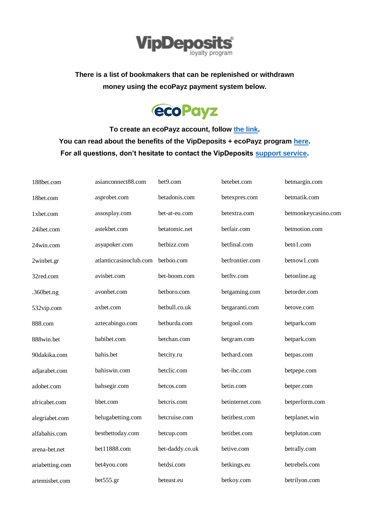

**There is a list of bookmakers that can be replenished or withdrawn money using the ecoPayz payment system below.**



**To create an ecoPayz account, follow [the link.](https://secure.ecopayz.com/Registration.aspx?_atc=kxb17rzagxtafr41u3bokk0at) You can read about the benefits of the VipDeposits + ecoPayz program [here.](https://vipdeposits.com/ecopayz/) For all questions, don't hesitate to contact the VipDeposits [support service.](https://vipdeposits.com/contacts)**

| 188bet.com      | asianconnect88.com     | bet9.com        | betebet.com     | betmargin.com       |
|-----------------|------------------------|-----------------|-----------------|---------------------|
| 18bet.com       | asprobet.com           | betadonis.com   | betexpres.com   | betmatik.com        |
| 1xbet.com       | assosplay.com          | bet-at-eu.com   | betextra.com    | betmonkeycasino.com |
| 24ibet.com      | astekbet.com           | betatomic.net   | betfair.com     | betmotion.com       |
| 24win.com       | asyapoker.com          | betbizz.com     | betfinal.com    | betn1.com           |
| 2winbet.gr      | atlanticcasinoclub.com | betboo.com      | betfrontier.com | betnow1.com         |
| 32red.com       | avisbet.com            | bet-boom.com    | betftv.com      | betonline.ag        |
| $.360$ bet.ng   | avonbet.com            | betboro.com     | betgaming.com   | betorder.com        |
| 532vip.com      | axbet.com              | betbull.co.uk   | betgaranti.com  | betove.com          |
| 888.com         | aztecabingo.com        | betburda.com    | betgool.com     | betpark.com         |
| 888win.bet      | babibet.com            | betchan.com     | betgram.com     | betpark.com         |
| 90dakika.com    | bahis.bet              | betcity.ru      | bethard.com     | betpas.com          |
| adjarabet.com   | bahiswin.com           | betclic.com     | bet-ibc.com     | betpepe.com         |
| adobet.com      | bahsegir.com           | betcos.com      | betin.com       | betper.com          |
| africabet.com   | bbet.com               | betcris.com     | betinternet.com | betperform.com      |
| alegriabet.com  | belugabetting.com      | betcruise.com   | betitbest.com   | betplanet.win       |
| alfabahis.com   | bestbettoday.com       | betcup.com      | betitbet.com    | betpluton.com       |
| arena-bet.net   | bet11888.com           | bet-daddy.co.uk | betive.com      | betrally.com        |
| ariabetting.com | bet4you.com            | betdsi.com      | betkings.eu     | betrebels.com       |
| artemisbet.com  | bet555.gr              | beteast.eu      | betkoy.com      | betrilyon.com       |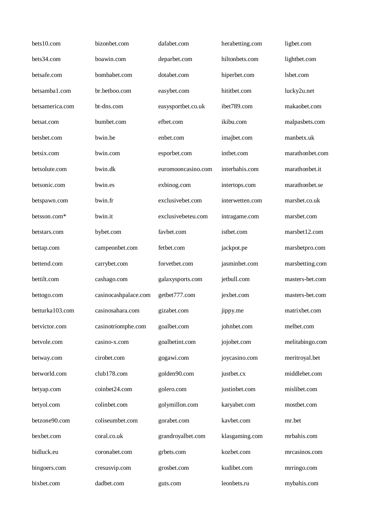| bets10.com      | bizonbet.com         | dafabet.com        | herabetting.com | ligbet.com      |
|-----------------|----------------------|--------------------|-----------------|-----------------|
| bets34.com      | boawin.com           | deparbet.com       | hiltonbets.com  | lightbet.com    |
| betsafe.com     | bombabet.com         | dotabet.com        | hiperbet.com    | lsbet.com       |
| betsamba1.com   | br.betboo.com        | easybet.com        | hititbet.com    | lucky2u.net     |
| betsamerica.com | bt-dns.com           | easysportbet.co.uk | ibet789.com     | makaobet.com    |
| betsat.com      | bumbet.com           | efbet.com          | ikibu.com       | malpasbets.com  |
| betsbet.com     | bwin.be              | enbet.com          | imajbet.com     | manbetx.uk      |
| betsix.com      | bwin.com             | esporbet.com       | intbet.com      | marathonbet.com |
| betsolute.com   | bwin.dk              | euromooncasino.com | interbahis.com  | marathonbet.it  |
| betsonic.com    | bwin.es              | exbinog.com        | intertops.com   | marathonbet.se  |
| betspawn.com    | bwin.fr              | exclusivebet.com   | interwetten.com | marsbet.co.uk   |
| betsson.com*    | bwin.it              | exclusivebeteu.com | intragame.com   | marsbet.com     |
| betstars.com    | bybet.com            | favbet.com         | istbet.com      | marsbet12.com   |
| bettap.com      | campeonbet.com       | fetbet.com         | jackpot.pe      | marsbetpro.com  |
| bettend.com     | carrybet.com         | forvetbet.com      | jasminbet.com   | marsbetting.com |
| bettilt.com     | cashago.com          | galaxysports.com   | jetbull.com     | masters-bet.com |
| bettogo.com     | casinocashpalace.com | getbet777.com      | jexbet.com      | masters-bet.com |
| betturka103.com | casinosahara.com     | gizabet.com        | jippy.me        | matrixbet.com   |
| betvictor.com   | casinotriomphe.com   | goalbet.com        | johnbet.com     | melbet.com      |
| betvole.com     | casino-x.com         | goalbetint.com     | jojobet.com     | melitabingo.com |
| betway.com      | cirobet.com          | gogawi.com         | joycasino.com   | meritroyal.bet  |
| betworld.com    | club178.com          | golden90.com       | justbet.cx      | middlebet.com   |
| betyap.com      | coinbet24.com        | golero.com         | justinbet.com   | mislibet.com    |
| betyol.com      | colinbet.com         | golymillon.com     | karyabet.com    | mostbet.com     |
| betzone90.com   | coliseumbet.com      | gorabet.com        | kavbet.com      | mr.bet          |
| bexbet.com      | coral.co.uk          | grandroyalbet.com  | klasgaming.com  | mrbahis.com     |
| bidluck.eu      | coronabet.com        | grbets.com         | kozbet.com      | mrcasinos.com   |
| bingoers.com    | cresusvip.com        | grosbet.com        | kudibet.com     | mrringo.com     |
| bixbet.com      | dadbet.com           | guts.com           | leonbets.ru     | mybahis.com     |